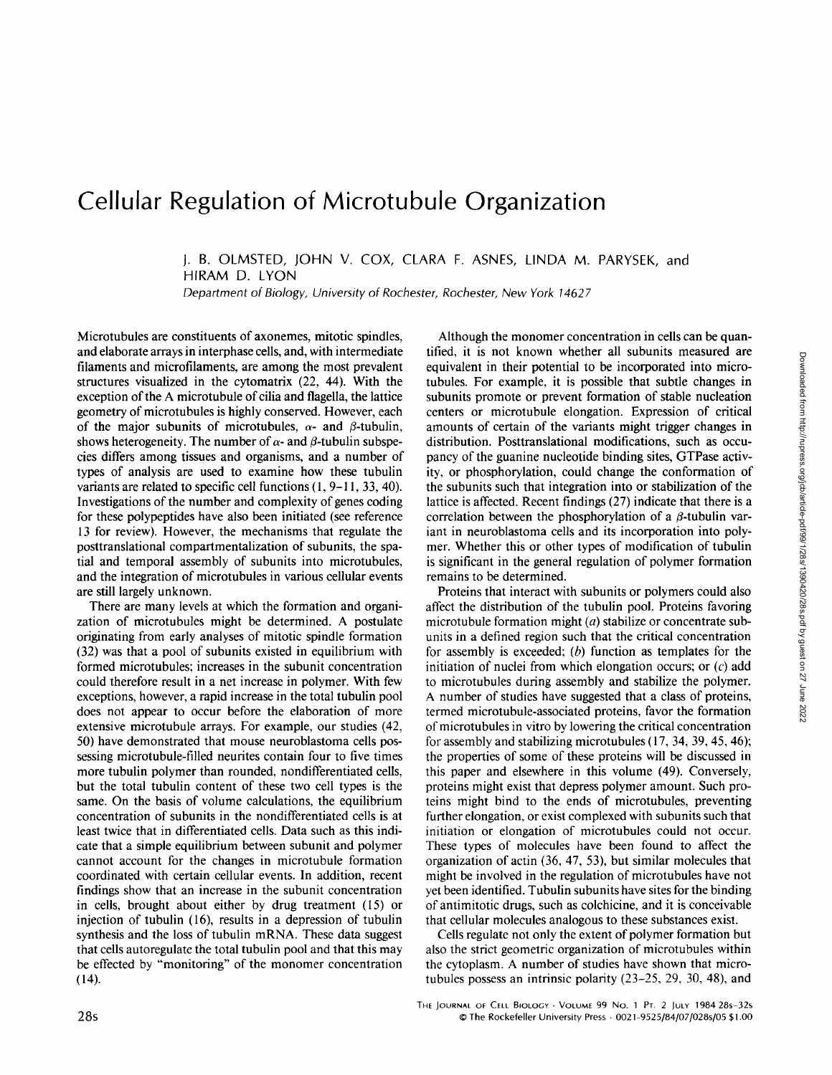## Cellular Regulation of Microtubule Organization

J. B. OLMSTED, JOHN V. COX, CLARA F. ASNES, LINDA M. PARYSEK, and HIRAM D. LYON

Department of Biology, University of Rochester, Rochester, New York 14627

Microtubules are constituents of axonemes, mitotic spindles, and elaborate arrays in interphase cells, and, with intermediate filaments and microfilaments, are among the most prevalent structures visualized in the cytomatrix (22, 44). With the exception of the A microtubule of cilia and flagella, the lattice geometry of microtubules is highly conserved. However, each of the major subunits of microtubules,  $\alpha$ - and  $\beta$ -tubulin, shows heterogeneity. The number of  $\alpha$ - and  $\beta$ -tubulin subspecies differs among tissues and organisms, and a number of types of analysis are used to examine how these tubulin variants are related to specific cell functions (1, 9-11, 33, 40). Investigations of the number and complexity of genes coding for these polypeptides have also been initiated (see reference 13 for review). However, the mechanisms that regulate the posttranslational compartmentalization of subunits, the spatial and temporal assembly of subunits into microtubules, and the integration of microtubules in various cellular events are still largely unknown.

There are many levels at which the formation and organization of microtubules might be determined. A postulate originating from early analyses of mitotic spindle formation (32) was that a pool of subunits existed in equilibrium with formed microtubules; increases in the subunit concentration could therefore result in a net increase in polymer. With few exceptions, however, a rapid increase in the total tubulin pool does not appear to occur before the elaboration of more extensive microtubule arrays. For example, our studies  $(42, 42)$ 50) have demonstrated that mouse neuroblastoma cells possessing microtubule-filled neurites contain four to five times more tubulin polymer than rounded, nondifferentiated cells, but the total tubulin content of these two cell types is the same. On the basis of volume calculations, the equilibrium concentration of subunits in the nondifferentiated cells is at least twice that in differentiated cells. Data such as this indicate that a simple equilibrium between subunit and polymer cannot account for the changes in microtubule formation coordinated with certain cellular events. In addition, recent findings show that an increase in the subunit concentration in cells, brought about either by drug treatment (15) or injection of tubulin (16), results in a depression of tubulin synthesis and the loss of tubulin mRNA. These data suggest that cells autoregulate the total tubulin pool and that this may be effected by "monitoring" of the monomer concentration  $(14)$ .

Although the monomer concentration in cells can be quantified, it is not known whether all subunits measured are equivalent in their potential to be incorporated into microtubules. For example, it is possible that subtle changes in subunits promote or prevent formation of stable nucleation centers or microtubule elongation. Expression of critical amounts of certain of the variants might trigger changes in distribution. Posttranslational modifications, such as occupancy of the guanine nucleotide binding sites, GTPase activity, or phosphorylation, could change the conformation of the subunits such that integration into or stabilization of the lattice is affected. Recent findings  $(27)$  indicate that there is a correlation between the phosphorylation of a  $\beta$ -tubulin variant in neuroblastoma cells and its incorporation into polymer. Whether this or other types of modification of tubulin is significant in the general regulation of polymer formation remains to be determined.

Proteins that interact with subunits or polymers could also affect the distribution of the tubulin pool. Proteins favoring microtubule formation might  $(a)$  stabilize or concentrate subunits in a defined region such that the critical concentration for assembly is exceeded; (b) function as templates for the initiation of nuclei from which elongation occurs; or  $(c)$  add to microtubules during assembly and stabilize the polymer. A number of studies have suggested that <sup>a</sup> class of proteins, termed microtubule-associated proteins, favor the formation of microtubules in vitro by lowering the critical concentration for assembly and stabilizing microtubules (17, 34, 39, 45, 46); the properties of some of these proteins will be discussed in this paper and elsewhere in this volume (49). Conversely, proteins might exist that depress polymer amount. Such proteins might bind to the ends of microtubules, preventing further elongation, or exist complexed with subunits such that initiation or elongation of microtubules could not occur. These types of molecules have been found to affect the organization of actin (36, 47, 53), but similar molecules that might be involved in the regulation of microtubules have not yet been identified. Tubulin subunits have sites for the binding of antimitotic drugs, such as colchicine, and it is conceivable that cellular molecules analogous to these substances exist.

Cells regulate not only the extent of polymer formation but also the strict geometric organization of microtubules within the cytoplasm . A number of studies have shown that microtubules possess an intrinsic polarity (23-25, 29, 30, 48), and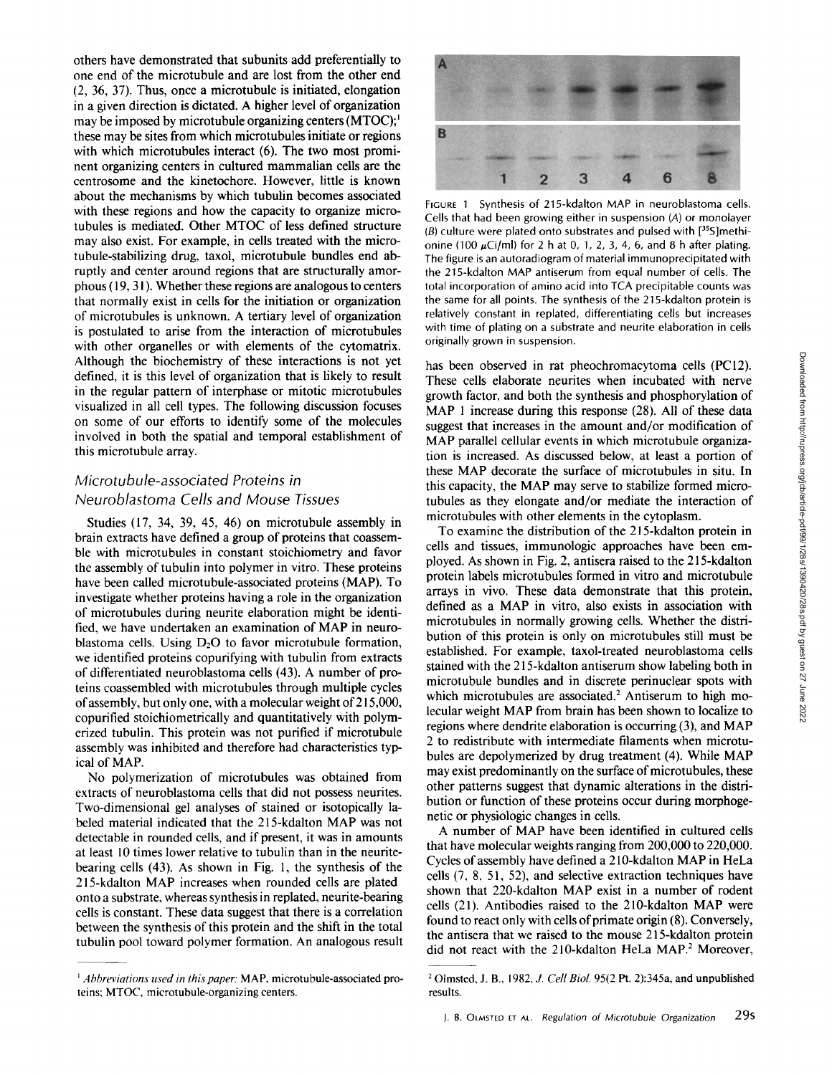others have demonstrated that subunits add preferentially to one end of the microtubule and are lost from the other end (2, 36, 37) . Thus, once a microtubule is initiated, elongation in a given direction is dictated. A higher level of organization may be imposed by microtubule organizing centers (MTOC);<sup>1</sup> these may be sites from which microtubules initiate or regions with which microtubules interact (6). The two most prominent organizing centers in cultured mammalian cells are the centrosome and the kinetochore. However, little is known about the mechanisms by which tubulin becomes associated with these regions and how the capacity to organize microtubules is mediated. Other MTOC of less defined structure may also exist. For example, in cells treated with the microtubule-stabilizing drug, taxol, microtubule bundles end abruptly and center around regions that are structurally amorphous (19, 31) . Whether these regions are analogous to centers that normally exist in cells for the initiation or organization of microtubules is unknown. A tertiary level of organization is postulated to arise from the interaction of microtubules with other organelles or with elements of the cytomatrix. Although the biochemistry of these interactions is not yet defined, it is this level of organization that is likely to result in the regular pattern of interphase or mitotic microtubules visualized in all cell types. The following discussion focuses on some of our efforts to identify some of the molecules involved in both the spatial and temporal establishment of this microtubule array.

## Microtubule-associated Proteins in Neuroblastoma Cells and Mouse Tissues

Studies (17, 34, 39, 45, 46) on microtubule assembly in brain extracts have defined a group of proteins that coassemble with microtubules in constant stoichiometry and favor the assembly of tubulin into polymer in vitro. These proteins have been called microtubule-associated proteins (MAP). To investigate whether proteins having a role in the organization of microtubules during neurite elaboration might be identified, we have undertaken an examination of MAP in neuroblastoma cells. Using  $D_2O$  to favor microtubule formation, we identified proteins copurifying with tubulin from extracts of differentiated neuroblastoma cells (43) . A number of proteins coassembled with microtubules through multiple cycles ofassembly, but only one, with a molecular weight of 215,000, copurified stoichiometrically and quantitatively with polymerized tubulin. This protein was not purified if microtubule assembly was inhibited and therefore had characteristics typical of MAP.

No polymerization of microtubules was obtained from extracts of neuroblastoma cells that did not possess neurites. Two-dimensional gel analyses of stained or isotopically labeled material indicated that the 215-kdalton MAP was not detectable in rounded cells, and if present, it was in amounts at least 10 times lower relative to tubulin than in the neuritebearing cells  $(43)$ . As shown in Fig. 1, the synthesis of the 215-kdalton MAP increases when rounded cells are plated onto a substrate, whereas synthesis in replated, neurite-bearing cells is constant. These data suggest that there is a correlation between the synthesis of this protein and the shift in the total tubulin pool toward polymer formation . An analogous result





FIGURE <sup>1</sup> Synthesis of 215-kdalton MAP in neuroblastoma cells. Cells that had been growing either in suspension (A) or monolayer  $(B)$  culture were plated onto substrates and pulsed with  $[355]$ methionine (100  $\mu$ Ci/ml) for 2 h at 0, 1, 2, 3, 4, 6, and 8 h after plating. The figure is an autoradiogram of material immunoprecipitated with the 215-kdalton MAP antiserum from equal number of cells. The total incorporation of amino acid into TCA precipitable counts was the same for all points. The synthesis of the 215-kdalton protein is relatively constant in replated, differentiating cells but increases with time of plating on a substrate and neurite elaboration in cells originally grown in suspension .

has been observed in rat pheochromacytoma cells (PC12). These cells elaborate neurites when incubated with nerve growth factor, and both the synthesis and phosphorylation of MAP <sup>1</sup> increase during this response (28). All of these data suggest that increases in the amount and/or modification of MAP parallel cellular events in which microtubule organization is increased. As discussed below, at least a portion of these MAP decorate the surface of microtubules in situ. In this capacity, the MAP may serve to stabilize formed microtubules as they elongate and/or mediate the interaction of microtubules with other elements in the cytoplasm .

To examine the distribution of the 215-kdalton protein in cells and tissues, immunologic approaches have been employed. As shown in Fig. 2, antisera raised to the 215-kdalton protein labels microtubules formed in vitro and microtubule arrays in vivo. These data demonstrate that this protein, defined as a MAP in vitro, also exists in association with microtubules in normally growing cells. Whether the distribution of this protein is only on microtubules still must be established. For example, taxol-treated neuroblastoma cells stained with the 215-kdalton antiserum show labeling both in microtubule bundles and in discrete perinuclear spots with which microtubules are associated.<sup>2</sup> Antiserum to high molecular weight MAP from brain has been shown to localize to regions where dendrite elaboration is occurring (3), and MAP 2 to redistribute with intermediate filaments when microtubules are depolymerized by drug treatment (4) . While MAP may exist predominantly on the surface of microtubules, these other patterns suggest that dynamic alterations in the distribution or function of these proteins occur during morphogenetic or physiologic changes in cells.

A number of MAP have been identified in cultured cells that have molecular weights ranging from 200,000 to 220,000 . Cycles of assembly have defined <sup>a</sup> 210-kdalton MAP in HeLa cells (7, 8, 51, 52), and selective extraction techniques have shown that 220-kdalton MAP exist in <sup>a</sup> number of rodent cells (21) . Antibodies raised to the 210-kdalton MAP were found to react only with cells of primate origin (8) . Conversely, the antisera that we raised to the mouse 215-kdalton protein did not react with the 210-kdalton HeLa MAP.' Moreover,

<sup>&</sup>lt;sup>2</sup> Olmsted, J. B., 1982, *J. Cell Biol.* 95(2 Pt. 2):345a, and unpublished results.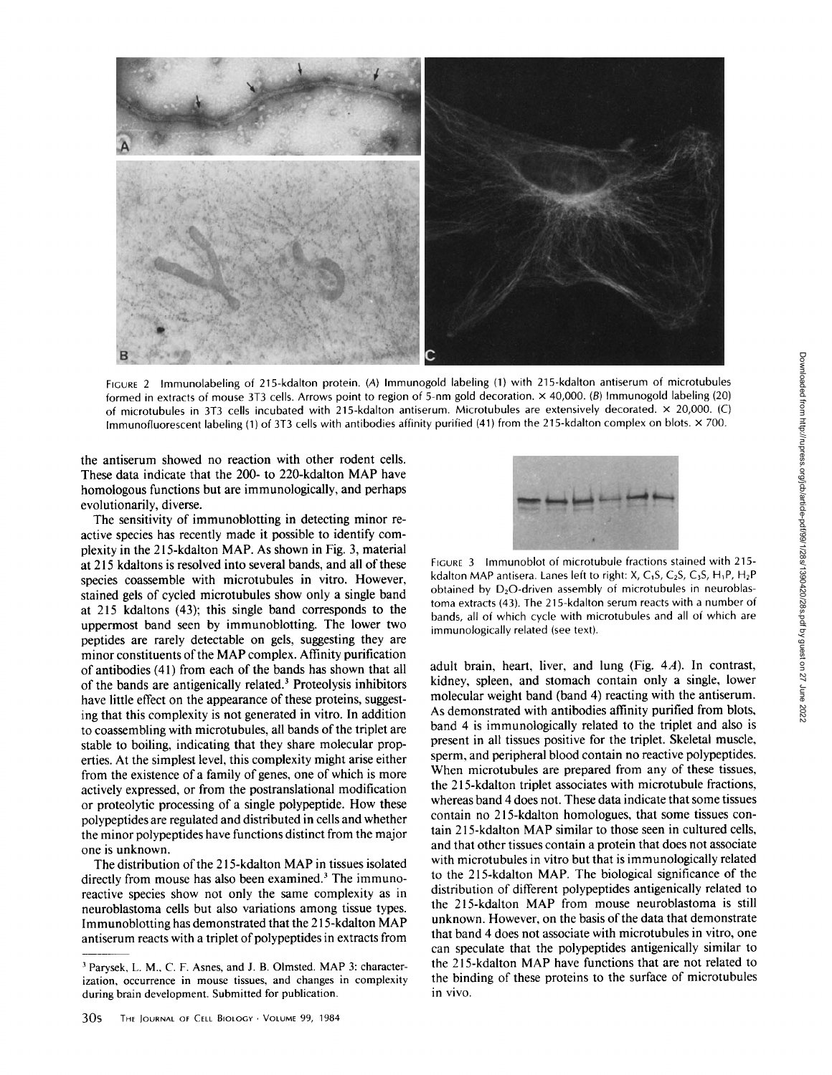

FIGURE 2 Immunolabeling of 215-kdalton protein. (A) Immunogold labeling (1) with 215-kdalton antiserum of microtubules formed in extracts of mouse 3T3 cells . Arrows point to region of 5-nm gold decoration . X 40,000. (B) Immunogold labeling (20) of microtubules in 3T3 cells incubated with 215-kdalton antiserum. Microtubules are extensively decorated.  $\times$  20,000. (C) Immunofluorescent labeling (1) of 3T3 cells with antibodies affinity purified (41) from the 215-kdalton complex on blots. × 700.

the antiserum showed no reaction with other rodent cells. These data indicate that the 200- to 220-kdalton MAP have homologous functions but are immunologically, and perhaps evolutionarily, diverse.

The sensitivity of immunoblotting in detecting minor reactive species has recently made it possible to identify complexity in the 215-kdalton MAP. As shown in Fig. 3, material at 215 kdaltons is resolved into several bands, and all of these species coassemble with microtubules in vitro. However, stained gels of cycled microtubules show only a single band at 215 kdaltons (43); this single band corresponds to the uppermost band seen by immunoblotting. The lower two peptides are rarely detectable on gels, suggesting they are minor constituents of the MAP complex. Affinity purification of antibodies (41) from each of the bands has shown that all of the bands are antigenically related .' Proteolysis inhibitors have little effect on the appearance of these proteins, suggesting that this complexity is not generated in vitro. In addition to coassembling with microtubules, all bands of the triplet are stable to boiling, indicating that they share molecular properties. At the simplest level, this complexity might arise either from the existence of a family of genes, one of which is more actively expressed, or from the postranslational modification or proteolytic processing of a single polypeptide. How these polypeptides are regulated and distributed in cells and whether the minor polypeptides have functions distinct from the major one is unknown.

The distribution of the 215-kdalton MAP in tissues isolated directly from mouse has also been examined.' The immunoreactive species show not only the same complexity as in neuroblastoma cells but also variations among tissue types . Immunoblotting has demonstrated that the 215-kdalton MAP antiserum reacts with a triplet of polypeptides in extracts from



FIGURE 3 Immunoblot of microtubule fractions stained with 215 kdalton MAP antisera. Lanes left to right: X, C<sub>1</sub>S, C<sub>2</sub>S, C<sub>3</sub>S, H<sub>1</sub>P, H<sub>2</sub>P obtained by  $D_2O$ -driven assembly of microtubules in neuroblastoma extracts (43) . The 215-kdalton serum reacts with <sup>a</sup> number of bands, all of which cycle with microtubules and all of which are immunologically related (see text).

adult brain, heart, liver, and lung (Fig.  $4A$ ). In contrast, kidney, spleen, and stomach contain only a single, lower molecular weight band (band 4) reacting with the antiserum. As demonstrated with antibodies affinity purified from blots, band 4 is immunologically related to the triplet and also is present in all tissues positive for the triplet. Skeletal muscle, sperm, and peripheral blood contain no reactive polypeptides . When microtubules are prepared from any of these tissues, the 215-kdalton triplet associates with microtubule fractions, whereas band 4 does not. These data indicate that some tissues contain no 215-kdalton homologues, that some tissues contain 215-kdalton MAP similar to those seen in cultured cells, and that other tissues contain a protein that does not associate with microtubules in vitro but that is immunologically related to the 215-kdalton MAP. The biological significance of the distribution of different polypeptides antigenically related to the 215-kdalton MAP from mouse neuroblastoma is still unknown. However, on the basis of the data that demonstrate that band 4 does not associate with microtubules in vitro, one can speculate that the polypeptides antigenically similar to the 215-kdalton MAP have functions that are not related to the binding of these proteins to the surface of microtubules in vivo.

<sup>&</sup>lt;sup>3</sup> Parysek, L. M., C. F. Asnes, and J. B. Olmsted. MAP 3: characterization, occurrence in mouse tissues, and changes in complexity during brain development. Submitted for publication.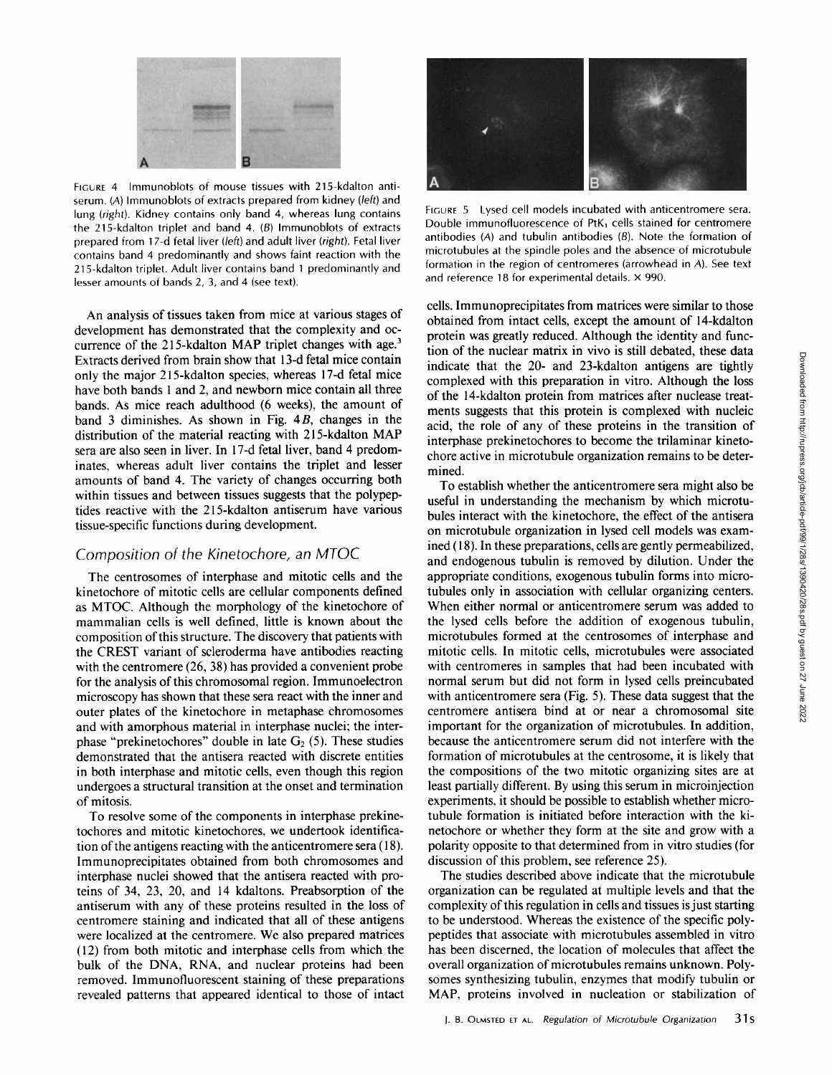

FIGURE <sup>4</sup> Immunoblots of mouse tissues with 215-kdalton antiserum. (A) Immunoblots of extracts prepared from kidney (left) and lung (right). Kidney contains only band 4, whereas lung contains the 215-kdalton triplet and band 4. (8) Immunoblots of extracts prepared from 17-d fetal liver (left) and adult liver (right). Fetal liver contains band 4 predominantly and shows faint reaction with the 215-kdalton triplet. Adult liver contains band 1 predominantly and lesser amounts of bands 2, 3, and 4 (see text) .

An analysis of tissues taken from mice at various stages of development has demonstrated that the complexity and occurrence of the 215-kdalton MAP triplet changes with age.<sup>3</sup> Extracts derived from brain show that 13-d fetal mice contain only the major 215-kdalton species, whereas 17-d fetal mice have both bands <sup>1</sup> and 2, and newborn mice contain all three bands. As mice reach adulthood (6 weeks), the amount of band 3 diminishes. As shown in Fig.  $4B$ , changes in the distribution of the material reacting with 215-kdalton MAP sera are also seen in liver. In 17-d fetal liver, band 4 predominates, whereas adult liver contains the triplet and lesser amounts of band 4. The variety of changes occurring both within tissues and between tissues suggests that the polypeptides reactive with the 215-kdalton antiserum have various tissue-specific functions during development.

## Composition of the Kinetochore, an MTOC

The centrosomes of interphase and mitotic cells and the kinetochore of mitotic cells are cellular components defined as MTOC. Although the morphology of the kinetochore of mammalian cells is well defined, little is known about the composition of this structure . The discovery that patients with the CREST variant of scleroderma have antibodies reacting with the centromere (26, 38) has provided a convenient probe for the analysis of this chromosomal region. Immunoelectron microscopy has shown that these sera react with the inner and outer plates of the kinetochore in metaphase chromosomes and with amorphous material in interphase nuclei; the interphase "prekinetochores" double in late  $G_2$  (5). These studies demonstrated that the antisera reacted with discrete entities in both interphase and mitotic cells, even though this region undergoes a structural transition at the onset and termination of mitosis .

To resolve some of the components in interphase prekinetochores and mitotic kinetochores, we undertook identification of the antigens reacting with the anticentromere sera (18). Immunoprecipitates obtained from both chromosomes and interphase nuclei showed that the antisera reacted with proteins of 34, 23, 20, and 14 kdaltons. Preabsorption of the antiserum with any of these proteins resulted in the loss of centromere staining and indicated that all of these antigens were localized at the centromere. We also prepared matrices (12) from both mitotic and interphase cells from which the bulk of the DNA, RNA, and nuclear proteins had been removed. Immunofluorescent staining of these preparations revealed patterns that appeared identical to those of intact



FIGURE 5 Lysed cell models incubated with anticentromere sera. Double immunofluorescence of PtK, cells stained for centromere antibodies  $(A)$  and tubulin antibodies  $(B)$ . Note the formation of microtubules at the spindle poles and the absence of microtubule formation in the region of centromeres (arrowhead in A). See text and reference 18 for experimental details.  $\times$  990.

cells . Immunoprecipitates from matrices were similar to those obtained from intact cells, except the amount of 14-kdalton protein was greatly reduced. Although the identity and function of the nuclear matrix in vivo is still debated, these data indicate that the 20- and 23-kdalton antigens are tightly complexed with this preparation in vitro. Although the loss of the 14-kdalton protein from matrices after nuclease treatments suggests that this protein is complexed with nucleic acid, the role of any of these proteins in the transition of interphase prekinetochores to become the trilaminar kinetochore active in microtubule organization remains to be determined.

To establish whether the anticentromere sera might also be useful in understanding the mechanism by which microtubules interact with the kinetochore, the effect of the antisera on microtubule organization in lysed cell models was examined (18) . In these preparations, cells are gently permeabilized, and endogenous tubulin is removed by dilution. Under the appropriate conditions, exogenous tubulin forms into microtubules only in association with cellular organizing centers. When either normal or anticentromere serum was added to the lysed cells before the addition of exogenous tubulin, microtubules formed at the centrosomes of interphase and mitotic cells. In mitotic cells, microtubules were associated with centromeres in samples that had been incubated with normal serum but did not form in lysed cells preincubated with anticentromere sera (Fig. 5). These data suggest that the centromere antisera bind at or near a chromosomal site important for the organization of microtubules. In addition, because the anticentromere serum did not interfere with the formation of microtubules at the centrosome, it is likely that the compositions of the two mitotic organizing sites are at least partially different. By using this serum in microinjection experiments, it should be possible to establish whether microtubule formation is initiated before interaction with the kinetochore or whether they form at the site and grow with a polarity opposite to that determined from in vitro studies (for discussion of this problem, see reference 25).

The studies described above indicate that the microtubule organization can be regulated at multiple levels and that the complexity of this regulation in cells and tissues is just starting to be understood. Whereas the existence of the specific polypeptides that associate with microtubules assembled in vitro has been discerned, the location of molecules that affect the overall organization of microtubules remains unknown. Polysomes synthesizing tubulin, enzymes that modify tubulin or MAP, proteins involved in nucleation or stabilization of